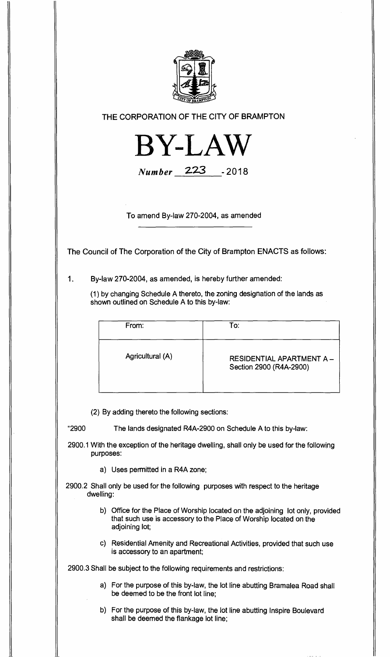

**THE CORPORATION OF THE CITY OF BRAMPTON** 



**Number 2-23 -2018** 

To amend By-law 270-2004, as amended

The Council of The Corporation of the City of Brampton ENACTS as follows:

1. By-law 270-2004, as amended, is hereby further amended:

(1) by changing Schedule A thereto, the zoning designation of the lands as shown outlined on Schedule A to this by-law:

| From:            | To:                                                         |
|------------------|-------------------------------------------------------------|
| Agricultural (A) | <b>RESIDENTIAL APARTMENT A -</b><br>Section 2900 (R4A-2900) |

(2) By adding thereto the following sections:

"2900 The lands designated R4A-2900 on Schedule A to this by-law:

2900.1 With the exception of the heritage dwelling, shall only be used for the following purposes:

a) Uses permitted in a R4A zone;

2900.2 Shall only be used for the following purposes with respect to the heritage dwelling:

- b) Office for the Place of Worship located on the adjoining lot only, provided that such use is accessory to the Place of Worship located on the adjoining lot;
- c) Residential Amenity and Recreational Activities, provided that such use is accessory to an apartment;

2900.3 Shall be subject to the following requirements and restrictions:

- a) For the purpose of this by-law, the lot line abutting Bramalea Road shall be deemed to be the front lot line;
- b) For the purpose of this by-law, the lot line abutting Inspire Boulevard shall be deemed the flankage lot line;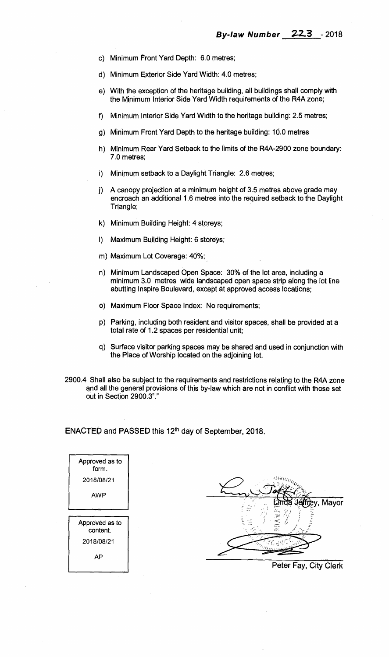- c) Minimum Front Yard Depth: 6.0 metres;
- d) Minimum Exterior Side Yard Width: 4.0 metres;
- e) With the exception of the heritage building, all buildings shall comply with the Minimum Interior Side Yard Width requirements of the R4A zone;
- f) Minimum Interior Side Yard Width to the heritage building: 2.5 metres;
- g) Minimum Front Yard Depth to the heritage building: 10.0 metres
- h) Minimum Rear Yard Setback to the limits of the R4A-2900 zone boundary: 7.0 metres;
- i) Minimum setback to a Daylight Triangle: 2.6 metres;
- j) A canopy projection at a minimum height of 3.5 metres above grade may encroach an additional 1.6 metres into the required setback to the Daylight Triangle;
- k) Minimum BUilding Height: 4 storeys;
- I) Maximum Building Height: **6 storeys;**
- m) Maximum Lot Coverage: 40%;
- n) Minimum Landscaped Open Space: 30% of the lot area, including a minimum 3.0 metres wide landscaped open space strip along the lot line abutting Inspire Boulevard, except at approved access locations;
- o) Maximum Floor Space Index: No requirements;
- p) Parking, including both resident and visitor spaces, shall be provided at a total rate of 1.2 spaces per residential unit;
- q) Surface visitor parking spaces may be shared and used in conjunction with the Place of Worship located on the adjoining lot.
- 2900.4 Shall also be subject to the requirements and restrictions relating to the R4A zone and all the general provisions of this by-law which are not in conflict with those set out in Section 2900.3"."

**ENACTED and PASSED this 12th day of September, 2018.** 

| Approved as to<br>form.    |  |  |  |  |
|----------------------------|--|--|--|--|
| 2018/08/21                 |  |  |  |  |
| AWP                        |  |  |  |  |
|                            |  |  |  |  |
|                            |  |  |  |  |
| Approved as to<br>content. |  |  |  |  |
| 2018/08/21                 |  |  |  |  |

| 9.67<br>auade |
|---------------|
| frey, Mayor   |
| RAM<br>Ġ.     |
| ٠<br>≖.       |

**Peter Fay, City Clerk**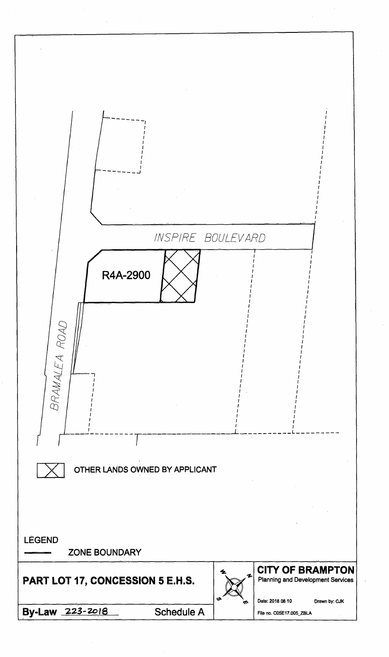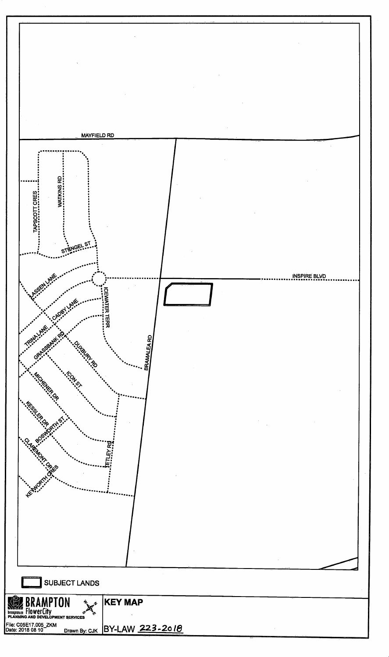